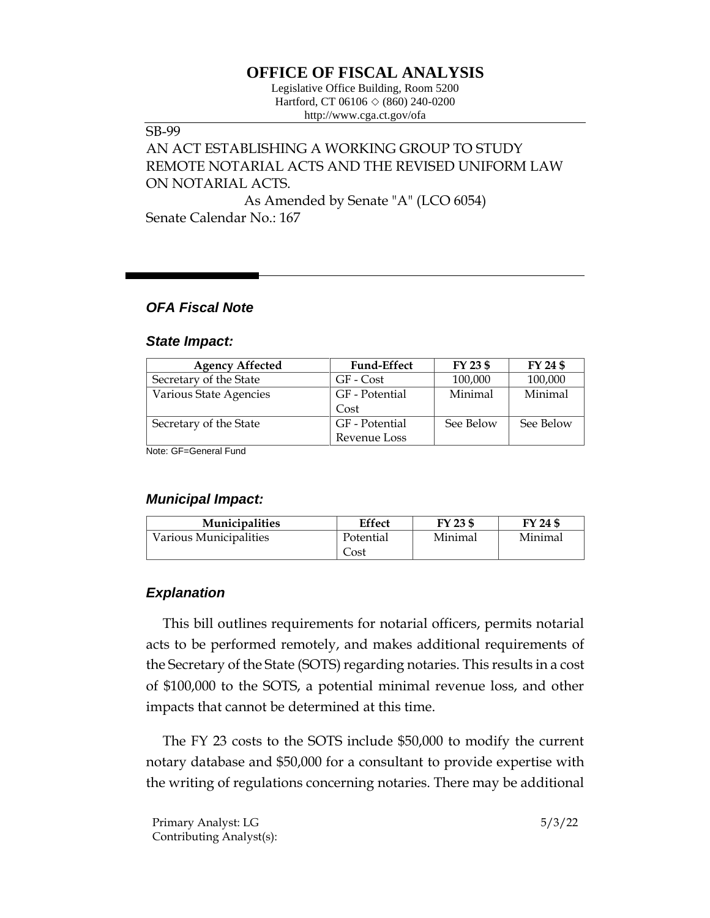# **OFFICE OF FISCAL ANALYSIS**

Legislative Office Building, Room 5200 Hartford, CT 06106  $\Diamond$  (860) 240-0200 http://www.cga.ct.gov/ofa

#### SB-99

# AN ACT ESTABLISHING A WORKING GROUP TO STUDY REMOTE NOTARIAL ACTS AND THE REVISED UNIFORM LAW ON NOTARIAL ACTS. As Amended by Senate "A" (LCO 6054)

Senate Calendar No.: 167

### *OFA Fiscal Note*

#### *State Impact:*

| <b>Agency Affected</b> | <b>Fund-Effect</b> | FY 23 \$  | FY 24 \$  |
|------------------------|--------------------|-----------|-----------|
| Secretary of the State | GF - Cost          | 100,000   | 100,000   |
| Various State Agencies | GF - Potential     | Minimal   | Minimal   |
|                        | Cost               |           |           |
| Secretary of the State | GF - Potential     | See Below | See Below |
|                        | Revenue Loss       |           |           |
| Note: CE-Conoral Fund  |                    |           |           |

Note: GF=General Fund

### *Municipal Impact:*

| <b>Municipalities</b>  | Effect    | FY 23 \$ | FY 24 \$ |
|------------------------|-----------|----------|----------|
| Various Municipalities | Potential | Minimal  | Minimal  |
|                        | Cost      |          |          |

## *Explanation*

This bill outlines requirements for notarial officers, permits notarial acts to be performed remotely, and makes additional requirements of the Secretary of the State (SOTS) regarding notaries. This results in a cost of \$100,000 to the SOTS, a potential minimal revenue loss, and other impacts that cannot be determined at this time.

The FY 23 costs to the SOTS include \$50,000 to modify the current notary database and \$50,000 for a consultant to provide expertise with the writing of regulations concerning notaries. There may be additional